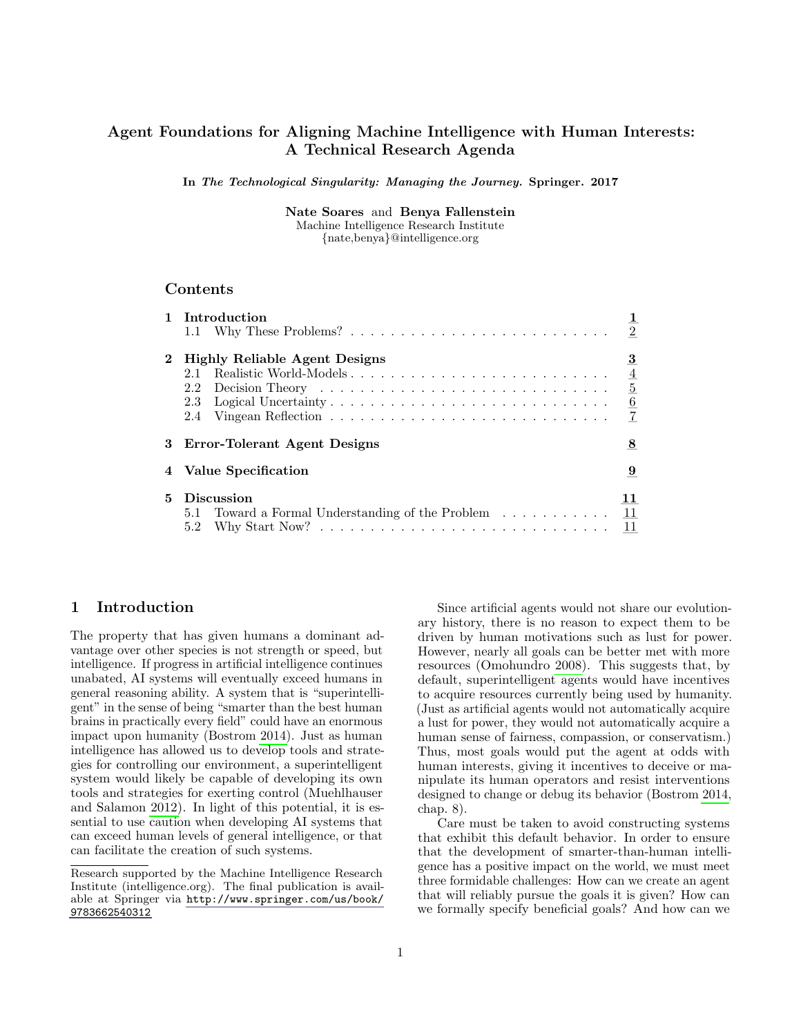# Agent Foundations for Aligning Machine Intelligence with Human Interests: A Technical Research Agenda

In The Technological Singularity: Managing the Journey. Springer. 2017

Nate Soares and Benya Fallenstein Machine Intelligence Research Institute

{nate,benya}@intelligence.org

### Contents

|              | 1 Introduction                                                                             |                                                 |
|--------------|--------------------------------------------------------------------------------------------|-------------------------------------------------|
| $\mathbf{2}$ | <b>Highly Reliable Agent Designs</b><br>Realistic World-Models<br>2.1<br>2.2<br>2.3<br>2.4 | 3<br>$\overline{4}$<br>$\frac{5}{2}$<br>-6<br>7 |
|              | 3 Error-Tolerant Agent Designs                                                             | 8                                               |
|              | Value Specification                                                                        | 9                                               |
| 5.           | <b>Discussion</b><br>5.1 Toward a Formal Understanding of the Problem<br>5.2               | 11<br>-11<br>-11                                |

## <span id="page-0-0"></span>1 Introduction

The property that has given humans a dominant advantage over other species is not strength or speed, but intelligence. If progress in artificial intelligence continues unabated, AI systems will eventually exceed humans in general reasoning ability. A system that is "superintelligent" in the sense of being "smarter than the best human brains in practically every field" could have an enormous impact upon humanity (Bostrom [2014\)](#page-11-0). Just as human intelligence has allowed us to develop tools and strategies for controlling our environment, a superintelligent system would likely be capable of developing its own tools and strategies for exerting control (Muehlhauser and Salamon [2012\)](#page-11-1). In light of this potential, it is essential to use caution when developing AI systems that can exceed human levels of general intelligence, or that can facilitate the creation of such systems.

Since artificial agents would not share our evolutionary history, there is no reason to expect them to be driven by human motivations such as lust for power. However, nearly all goals can be better met with more resources (Omohundro [2008\)](#page-11-2). This suggests that, by default, superintelligent agents would have incentives to acquire resources currently being used by humanity. (Just as artificial agents would not automatically acquire a lust for power, they would not automatically acquire a human sense of fairness, compassion, or conservatism.) Thus, most goals would put the agent at odds with human interests, giving it incentives to deceive or manipulate its human operators and resist interventions designed to change or debug its behavior (Bostrom [2014,](#page-11-0) chap. 8).

Care must be taken to avoid constructing systems that exhibit this default behavior. In order to ensure that the development of smarter-than-human intelligence has a positive impact on the world, we must meet three formidable challenges: How can we create an agent that will reliably pursue the goals it is given? How can we formally specify beneficial goals? And how can we

Research supported by the Machine Intelligence Research Institute (intelligence.org). The final publication is available at Springer via [http://www.springer.com/us/book/](http://www.springer.com/us/book/9783662540312) [9783662540312](http://www.springer.com/us/book/9783662540312)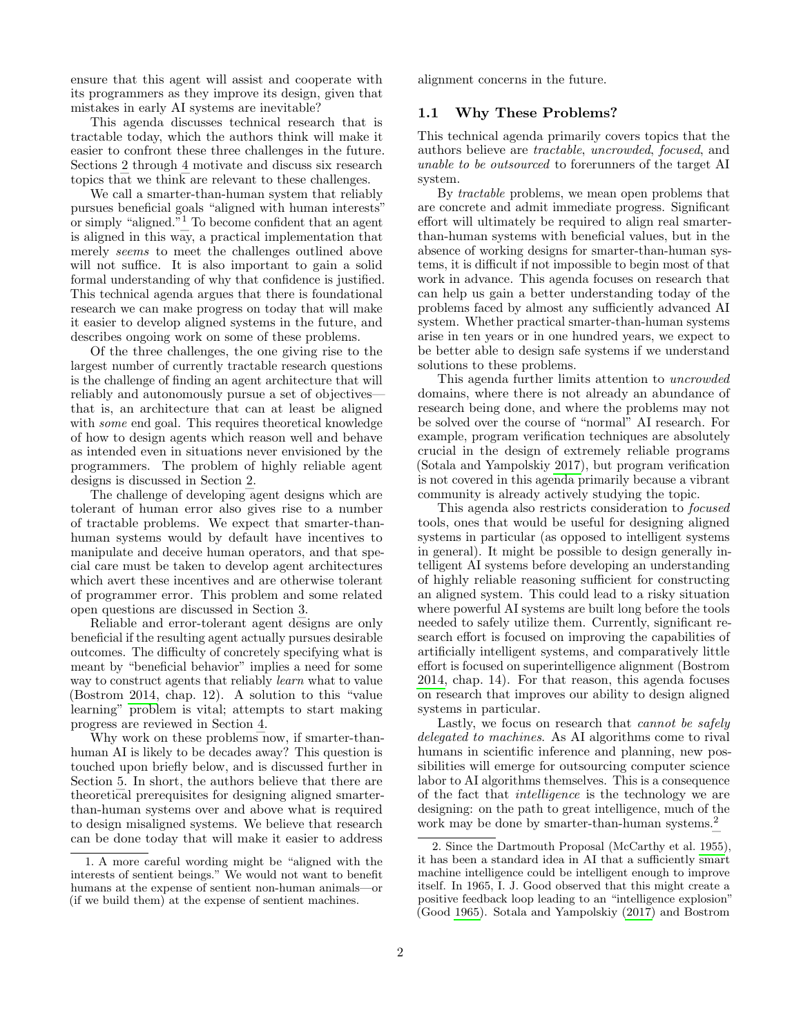ensure that this agent will assist and cooperate with its programmers as they improve its design, given that mistakes in early AI systems are inevitable?

This agenda discusses technical research that is tractable today, which the authors think will make it easier to confront these three challenges in the future. Sections [2](#page-2-0) through [4](#page-8-0) motivate and discuss six research topics that we think are relevant to these challenges.

We call a smarter-than-human system that reliably pursues beneficial goals "aligned with human interests" or simply "aligned."<sup>[1](#page-1-1)</sup> To become confident that an agent is aligned in this way, a practical implementation that merely seems to meet the challenges outlined above will not suffice. It is also important to gain a solid formal understanding of why that confidence is justified. This technical agenda argues that there is foundational research we can make progress on today that will make it easier to develop aligned systems in the future, and describes ongoing work on some of these problems.

Of the three challenges, the one giving rise to the largest number of currently tractable research questions is the challenge of finding an agent architecture that will reliably and autonomously pursue a set of objectives that is, an architecture that can at least be aligned with *some* end goal. This requires theoretical knowledge of how to design agents which reason well and behave as intended even in situations never envisioned by the programmers. The problem of highly reliable agent designs is discussed in Section [2.](#page-2-0)

The challenge of developing agent designs which are tolerant of human error also gives rise to a number of tractable problems. We expect that smarter-thanhuman systems would by default have incentives to manipulate and deceive human operators, and that special care must be taken to develop agent architectures which avert these incentives and are otherwise tolerant of programmer error. This problem and some related open questions are discussed in Section [3.](#page-7-0)

Reliable and error-tolerant agent designs are only beneficial if the resulting agent actually pursues desirable outcomes. The difficulty of concretely specifying what is meant by "beneficial behavior" implies a need for some way to construct agents that reliably learn what to value (Bostrom [2014,](#page-11-0) chap. 12). A solution to this "value learning" problem is vital; attempts to start making progress are reviewed in Section [4.](#page-8-0)

Why work on these problems now, if smarter-thanhuman AI is likely to be decades away? This question is touched upon briefly below, and is discussed further in Section [5.](#page-10-0) In short, the authors believe that there are theoretical prerequisites for designing aligned smarterthan-human systems over and above what is required to design misaligned systems. We believe that research can be done today that will make it easier to address

alignment concerns in the future.

#### <span id="page-1-0"></span>1.1 Why These Problems?

This technical agenda primarily covers topics that the authors believe are tractable, uncrowded, focused, and unable to be outsourced to forerunners of the target AI system.

By tractable problems, we mean open problems that are concrete and admit immediate progress. Significant effort will ultimately be required to align real smarterthan-human systems with beneficial values, but in the absence of working designs for smarter-than-human systems, it is difficult if not impossible to begin most of that work in advance. This agenda focuses on research that can help us gain a better understanding today of the problems faced by almost any sufficiently advanced AI system. Whether practical smarter-than-human systems arise in ten years or in one hundred years, we expect to be better able to design safe systems if we understand solutions to these problems.

This agenda further limits attention to uncrowded domains, where there is not already an abundance of research being done, and where the problems may not be solved over the course of "normal" AI research. For example, program verification techniques are absolutely crucial in the design of extremely reliable programs (Sotala and Yampolskiy [2017\)](#page-12-0), but program verification is not covered in this agenda primarily because a vibrant community is already actively studying the topic.

This agenda also restricts consideration to focused tools, ones that would be useful for designing aligned systems in particular (as opposed to intelligent systems in general). It might be possible to design generally intelligent AI systems before developing an understanding of highly reliable reasoning sufficient for constructing an aligned system. This could lead to a risky situation where powerful AI systems are built long before the tools needed to safely utilize them. Currently, significant research effort is focused on improving the capabilities of artificially intelligent systems, and comparatively little effort is focused on superintelligence alignment (Bostrom [2014,](#page-11-0) chap. 14). For that reason, this agenda focuses on research that improves our ability to design aligned systems in particular.

Lastly, we focus on research that *cannot* be safely delegated to machines. As AI algorithms come to rival humans in scientific inference and planning, new possibilities will emerge for outsourcing computer science labor to AI algorithms themselves. This is a consequence of the fact that intelligence is the technology we are designing: on the path to great intelligence, much of the work may be done by smarter-than-human systems.<sup>[2](#page-1-2)</sup>

<span id="page-1-1"></span><sup>1.</sup> A more careful wording might be "aligned with the interests of sentient beings." We would not want to benefit humans at the expense of sentient non-human animals—or (if we build them) at the expense of sentient machines.

<span id="page-1-2"></span><sup>2.</sup> Since the Dartmouth Proposal (McCarthy et al. [1955\)](#page-11-3), it has been a standard idea in AI that a sufficiently smart machine intelligence could be intelligent enough to improve itself. In 1965, I. J. Good observed that this might create a positive feedback loop leading to an "intelligence explosion" (Good [1965\)](#page-11-4). Sotala and Yampolskiy [\(2017\)](#page-12-0) and Bostrom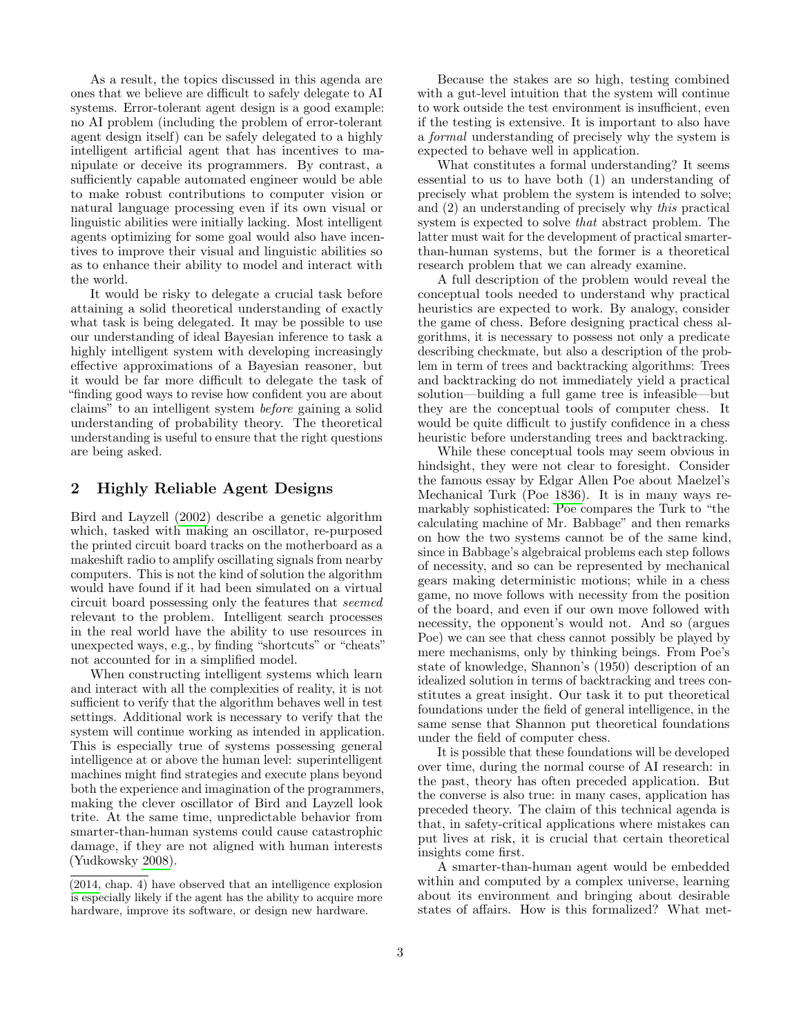As a result, the topics discussed in this agenda are ones that we believe are difficult to safely delegate to AI systems. Error-tolerant agent design is a good example: no AI problem (including the problem of error-tolerant agent design itself) can be safely delegated to a highly intelligent artificial agent that has incentives to manipulate or deceive its programmers. By contrast, a sufficiently capable automated engineer would be able to make robust contributions to computer vision or natural language processing even if its own visual or linguistic abilities were initially lacking. Most intelligent agents optimizing for some goal would also have incentives to improve their visual and linguistic abilities so as to enhance their ability to model and interact with the world.

It would be risky to delegate a crucial task before attaining a solid theoretical understanding of exactly what task is being delegated. It may be possible to use our understanding of ideal Bayesian inference to task a highly intelligent system with developing increasingly effective approximations of a Bayesian reasoner, but it would be far more difficult to delegate the task of "finding good ways to revise how confident you are about claims" to an intelligent system before gaining a solid understanding of probability theory. The theoretical understanding is useful to ensure that the right questions are being asked.

### <span id="page-2-0"></span>2 Highly Reliable Agent Designs

Bird and Layzell [\(2002\)](#page-11-5) describe a genetic algorithm which, tasked with making an oscillator, re-purposed the printed circuit board tracks on the motherboard as a makeshift radio to amplify oscillating signals from nearby computers. This is not the kind of solution the algorithm would have found if it had been simulated on a virtual circuit board possessing only the features that seemed relevant to the problem. Intelligent search processes in the real world have the ability to use resources in unexpected ways, e.g., by finding "shortcuts" or "cheats" not accounted for in a simplified model.

When constructing intelligent systems which learn and interact with all the complexities of reality, it is not sufficient to verify that the algorithm behaves well in test settings. Additional work is necessary to verify that the system will continue working as intended in application. This is especially true of systems possessing general intelligence at or above the human level: superintelligent machines might find strategies and execute plans beyond both the experience and imagination of the programmers, making the clever oscillator of Bird and Layzell look trite. At the same time, unpredictable behavior from smarter-than-human systems could cause catastrophic damage, if they are not aligned with human interests (Yudkowsky [2008\)](#page-12-1).

Because the stakes are so high, testing combined with a gut-level intuition that the system will continue to work outside the test environment is insufficient, even if the testing is extensive. It is important to also have a formal understanding of precisely why the system is expected to behave well in application.

What constitutes a formal understanding? It seems essential to us to have both (1) an understanding of precisely what problem the system is intended to solve; and (2) an understanding of precisely why this practical system is expected to solve that abstract problem. The latter must wait for the development of practical smarterthan-human systems, but the former is a theoretical research problem that we can already examine.

A full description of the problem would reveal the conceptual tools needed to understand why practical heuristics are expected to work. By analogy, consider the game of chess. Before designing practical chess algorithms, it is necessary to possess not only a predicate describing checkmate, but also a description of the problem in term of trees and backtracking algorithms: Trees and backtracking do not immediately yield a practical solution—building a full game tree is infeasible—but they are the conceptual tools of computer chess. It would be quite difficult to justify confidence in a chess heuristic before understanding trees and backtracking.

While these conceptual tools may seem obvious in hindsight, they were not clear to foresight. Consider the famous essay by Edgar Allen Poe about Maelzel's Mechanical Turk (Poe [1836\)](#page-12-2). It is in many ways remarkably sophisticated: Poe compares the Turk to "the calculating machine of Mr. Babbage" and then remarks on how the two systems cannot be of the same kind, since in Babbage's algebraical problems each step follows of necessity, and so can be represented by mechanical gears making deterministic motions; while in a chess game, no move follows with necessity from the position of the board, and even if our own move followed with necessity, the opponent's would not. And so (argues Poe) we can see that chess cannot possibly be played by mere mechanisms, only by thinking beings. From Poe's state of knowledge, Shannon's (1950) description of an idealized solution in terms of backtracking and trees constitutes a great insight. Our task it to put theoretical foundations under the field of general intelligence, in the same sense that Shannon put theoretical foundations under the field of computer chess.

It is possible that these foundations will be developed over time, during the normal course of AI research: in the past, theory has often preceded application. But the converse is also true: in many cases, application has preceded theory. The claim of this technical agenda is that, in safety-critical applications where mistakes can put lives at risk, it is crucial that certain theoretical insights come first.

A smarter-than-human agent would be embedded within and computed by a complex universe, learning about its environment and bringing about desirable states of affairs. How is this formalized? What met-

[<sup>\(2014,</sup>](#page-11-0) chap. 4) have observed that an intelligence explosion is especially likely if the agent has the ability to acquire more hardware, improve its software, or design new hardware.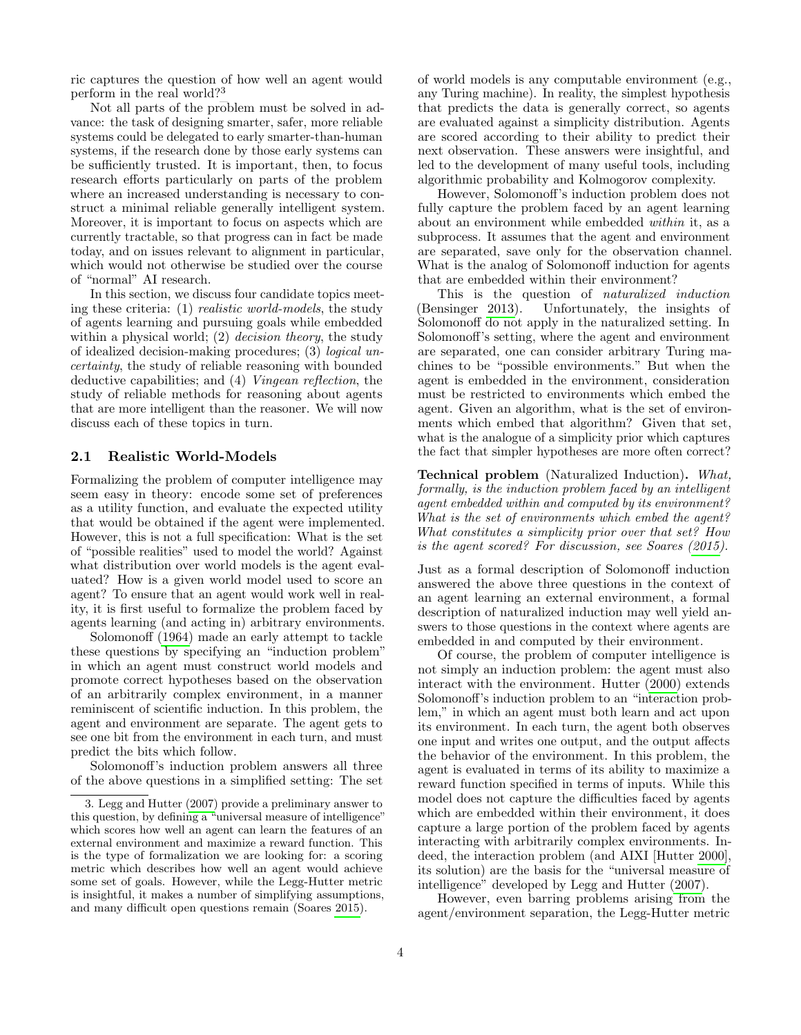ric captures the question of how well an agent would perform in the real world?[3](#page-3-1)

Not all parts of the problem must be solved in advance: the task of designing smarter, safer, more reliable systems could be delegated to early smarter-than-human systems, if the research done by those early systems can be sufficiently trusted. It is important, then, to focus research efforts particularly on parts of the problem where an increased understanding is necessary to construct a minimal reliable generally intelligent system. Moreover, it is important to focus on aspects which are currently tractable, so that progress can in fact be made today, and on issues relevant to alignment in particular, which would not otherwise be studied over the course of "normal" AI research.

In this section, we discuss four candidate topics meeting these criteria: (1) realistic world-models, the study of agents learning and pursuing goals while embedded within a physical world;  $(2)$  decision theory, the study of idealized decision-making procedures; (3) logical uncertainty, the study of reliable reasoning with bounded deductive capabilities; and (4) Vingean reflection, the study of reliable methods for reasoning about agents that are more intelligent than the reasoner. We will now discuss each of these topics in turn.

### <span id="page-3-0"></span>2.1 Realistic World-Models

Formalizing the problem of computer intelligence may seem easy in theory: encode some set of preferences as a utility function, and evaluate the expected utility that would be obtained if the agent were implemented. However, this is not a full specification: What is the set of "possible realities" used to model the world? Against what distribution over world models is the agent evaluated? How is a given world model used to score an agent? To ensure that an agent would work well in reality, it is first useful to formalize the problem faced by agents learning (and acting in) arbitrary environments.

Solomonoff [\(1964\)](#page-12-3) made an early attempt to tackle these questions by specifying an "induction problem" in which an agent must construct world models and promote correct hypotheses based on the observation of an arbitrarily complex environment, in a manner reminiscent of scientific induction. In this problem, the agent and environment are separate. The agent gets to see one bit from the environment in each turn, and must predict the bits which follow.

Solomonoff's induction problem answers all three of the above questions in a simplified setting: The set of world models is any computable environment (e.g., any Turing machine). In reality, the simplest hypothesis that predicts the data is generally correct, so agents are evaluated against a simplicity distribution. Agents are scored according to their ability to predict their next observation. These answers were insightful, and led to the development of many useful tools, including algorithmic probability and Kolmogorov complexity.

However, Solomonoff's induction problem does not fully capture the problem faced by an agent learning about an environment while embedded within it, as a subprocess. It assumes that the agent and environment are separated, save only for the observation channel. What is the analog of Solomonoff induction for agents that are embedded within their environment?

This is the question of *naturalized induction* (Bensinger 2013). Unfortunately, the insights of Unfortunately, the insights of Solomonoff do not apply in the naturalized setting. In Solomonoff's setting, where the agent and environment are separated, one can consider arbitrary Turing machines to be "possible environments." But when the agent is embedded in the environment, consideration must be restricted to environments which embed the agent. Given an algorithm, what is the set of environments which embed that algorithm? Given that set, what is the analogue of a simplicity prior which captures the fact that simpler hypotheses are more often correct?

Technical problem (Naturalized Induction). What, formally, is the induction problem faced by an intelligent agent embedded within and computed by its environment? What is the set of environments which embed the agent? What constitutes a simplicity prior over that set? How is the agent scored? For discussion, see Soares [\(2015\)](#page-12-4).

Just as a formal description of Solomonoff induction answered the above three questions in the context of an agent learning an external environment, a formal description of naturalized induction may well yield answers to those questions in the context where agents are embedded in and computed by their environment.

Of course, the problem of computer intelligence is not simply an induction problem: the agent must also interact with the environment. Hutter [\(2000\)](#page-11-8) extends Solomonoff's induction problem to an "interaction problem," in which an agent must both learn and act upon its environment. In each turn, the agent both observes one input and writes one output, and the output affects the behavior of the environment. In this problem, the agent is evaluated in terms of its ability to maximize a reward function specified in terms of inputs. While this model does not capture the difficulties faced by agents which are embedded within their environment, it does capture a large portion of the problem faced by agents interacting with arbitrarily complex environments. Indeed, the interaction problem (and AIXI [Hutter [2000\]](#page-11-8), its solution) are the basis for the "universal measure of intelligence" developed by Legg and Hutter [\(2007\)](#page-11-6).

However, even barring problems arising from the agent/environment separation, the Legg-Hutter metric

<span id="page-3-1"></span><sup>3.</sup> Legg and Hutter [\(2007\)](#page-11-6) provide a preliminary answer to this question, by defining a "universal measure of intelligence" which scores how well an agent can learn the features of an external environment and maximize a reward function. This is the type of formalization we are looking for: a scoring metric which describes how well an agent would achieve some set of goals. However, while the Legg-Hutter metric is insightful, it makes a number of simplifying assumptions, and many difficult open questions remain (Soares [2015\)](#page-12-4).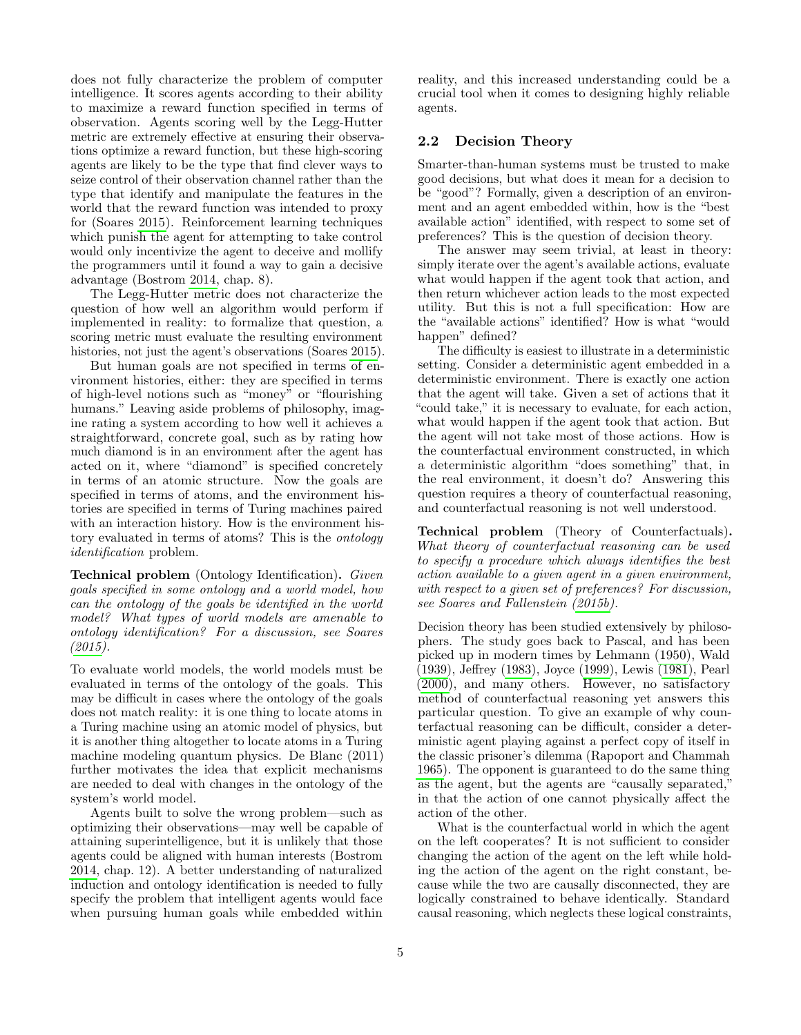does not fully characterize the problem of computer intelligence. It scores agents according to their ability to maximize a reward function specified in terms of observation. Agents scoring well by the Legg-Hutter metric are extremely effective at ensuring their observations optimize a reward function, but these high-scoring agents are likely to be the type that find clever ways to seize control of their observation channel rather than the type that identify and manipulate the features in the world that the reward function was intended to proxy for (Soares [2015\)](#page-12-4). Reinforcement learning techniques which punish the agent for attempting to take control would only incentivize the agent to deceive and mollify the programmers until it found a way to gain a decisive advantage (Bostrom [2014,](#page-11-0) chap. 8).

The Legg-Hutter metric does not characterize the question of how well an algorithm would perform if implemented in reality: to formalize that question, a scoring metric must evaluate the resulting environment histories, not just the agent's observations (Soares [2015\)](#page-12-4).

But human goals are not specified in terms of environment histories, either: they are specified in terms of high-level notions such as "money" or "flourishing humans." Leaving aside problems of philosophy, imagine rating a system according to how well it achieves a straightforward, concrete goal, such as by rating how much diamond is in an environment after the agent has acted on it, where "diamond" is specified concretely in terms of an atomic structure. Now the goals are specified in terms of atoms, and the environment histories are specified in terms of Turing machines paired with an interaction history. How is the environment history evaluated in terms of atoms? This is the ontology identification problem.

Technical problem (Ontology Identification). Given goals specified in some ontology and a world model, how can the ontology of the goals be identified in the world model? What types of world models are amenable to ontology identification? For a discussion, see Soares [\(2015\)](#page-12-4).

To evaluate world models, the world models must be evaluated in terms of the ontology of the goals. This may be difficult in cases where the ontology of the goals does not match reality: it is one thing to locate atoms in a Turing machine using an atomic model of physics, but it is another thing altogether to locate atoms in a Turing machine modeling quantum physics. De Blanc (2011) further motivates the idea that explicit mechanisms are needed to deal with changes in the ontology of the system's world model.

Agents built to solve the wrong problem—such as optimizing their observations—may well be capable of attaining superintelligence, but it is unlikely that those agents could be aligned with human interests (Bostrom [2014,](#page-11-0) chap. 12). A better understanding of naturalized induction and ontology identification is needed to fully specify the problem that intelligent agents would face when pursuing human goals while embedded within

reality, and this increased understanding could be a crucial tool when it comes to designing highly reliable agents.

#### <span id="page-4-0"></span>2.2 Decision Theory

Smarter-than-human systems must be trusted to make good decisions, but what does it mean for a decision to be "good"? Formally, given a description of an environment and an agent embedded within, how is the "best available action" identified, with respect to some set of preferences? This is the question of decision theory.

The answer may seem trivial, at least in theory: simply iterate over the agent's available actions, evaluate what would happen if the agent took that action, and then return whichever action leads to the most expected utility. But this is not a full specification: How are the "available actions" identified? How is what "would happen" defined?

The difficulty is easiest to illustrate in a deterministic setting. Consider a deterministic agent embedded in a deterministic environment. There is exactly one action that the agent will take. Given a set of actions that it "could take," it is necessary to evaluate, for each action, what would happen if the agent took that action. But the agent will not take most of those actions. How is the counterfactual environment constructed, in which a deterministic algorithm "does something" that, in the real environment, it doesn't do? Answering this question requires a theory of counterfactual reasoning, and counterfactual reasoning is not well understood.

Technical problem (Theory of Counterfactuals). What theory of counterfactual reasoning can be used to specify a procedure which always identifies the best action available to a given agent in a given environment, with respect to a given set of preferences? For discussion, see Soares and Fallenstein [\(2015b\)](#page-12-5).

Decision theory has been studied extensively by philosophers. The study goes back to Pascal, and has been picked up in modern times by Lehmann [\(1950\)](#page-11-9), Wald [\(1939\)](#page-12-6), Jeffrey [\(1983\)](#page-11-10), Joyce [\(1999\)](#page-11-11), Lewis [\(1981\)](#page-11-12), Pearl [\(2000\)](#page-12-7), and many others. However, no satisfactory method of counterfactual reasoning yet answers this particular question. To give an example of why counterfactual reasoning can be difficult, consider a deterministic agent playing against a perfect copy of itself in the classic prisoner's dilemma (Rapoport and Chammah [1965\)](#page-12-8). The opponent is guaranteed to do the same thing as the agent, but the agents are "causally separated," in that the action of one cannot physically affect the action of the other.

What is the counterfactual world in which the agent on the left cooperates? It is not sufficient to consider changing the action of the agent on the left while holding the action of the agent on the right constant, because while the two are causally disconnected, they are logically constrained to behave identically. Standard causal reasoning, which neglects these logical constraints,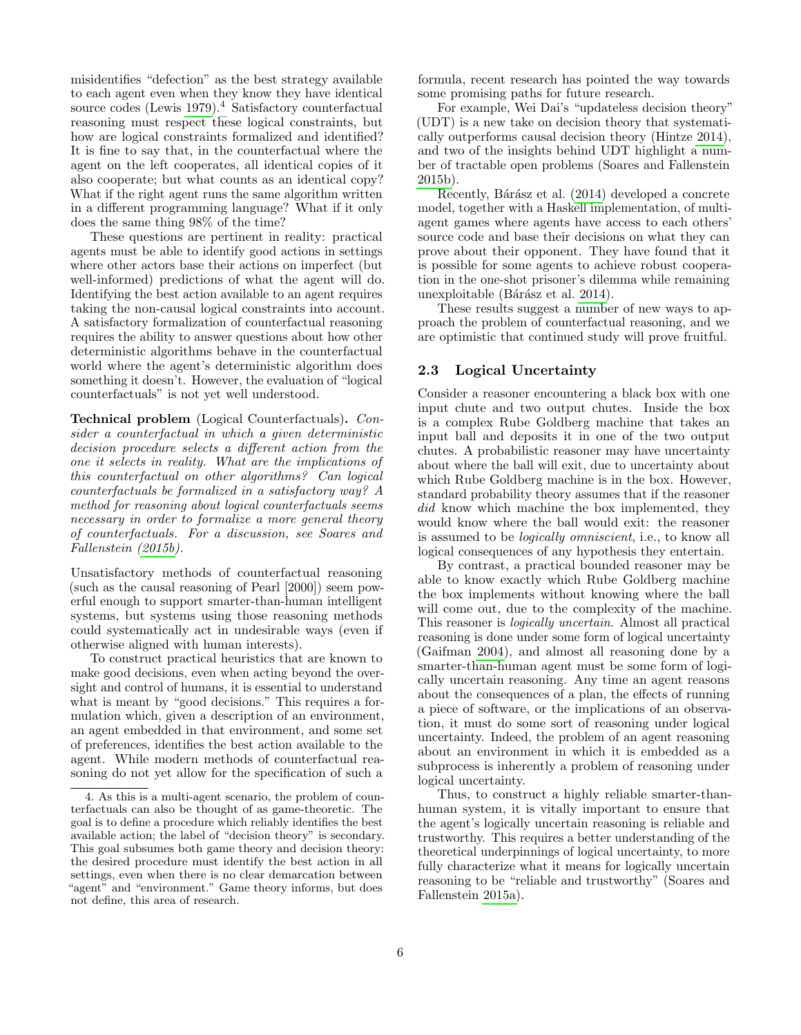misidentifies "defection" as the best strategy available to each agent even when they know they have identical source codes (Lewis [1979\)](#page-11-13).<sup>[4](#page-5-1)</sup> Satisfactory counterfactual reasoning must respect these logical constraints, but how are logical constraints formalized and identified? It is fine to say that, in the counterfactual where the agent on the left cooperates, all identical copies of it also cooperate; but what counts as an identical copy? What if the right agent runs the same algorithm written in a different programming language? What if it only does the same thing 98% of the time?

These questions are pertinent in reality: practical agents must be able to identify good actions in settings where other actors base their actions on imperfect (but well-informed) predictions of what the agent will do. Identifying the best action available to an agent requires taking the non-causal logical constraints into account. A satisfactory formalization of counterfactual reasoning requires the ability to answer questions about how other deterministic algorithms behave in the counterfactual world where the agent's deterministic algorithm does something it doesn't. However, the evaluation of "logical counterfactuals" is not yet well understood.

Technical problem (Logical Counterfactuals). Consider a counterfactual in which a given deterministic decision procedure selects a different action from the one it selects in reality. What are the implications of this counterfactual on other algorithms? Can logical counterfactuals be formalized in a satisfactory way? A method for reasoning about logical counterfactuals seems necessary in order to formalize a more general theory of counterfactuals. For a discussion, see Soares and Fallenstein [\(2015b\)](#page-12-5).

Unsatisfactory methods of counterfactual reasoning (such as the causal reasoning of Pearl [2000]) seem powerful enough to support smarter-than-human intelligent systems, but systems using those reasoning methods could systematically act in undesirable ways (even if otherwise aligned with human interests).

To construct practical heuristics that are known to make good decisions, even when acting beyond the oversight and control of humans, it is essential to understand what is meant by "good decisions." This requires a formulation which, given a description of an environment, an agent embedded in that environment, and some set of preferences, identifies the best action available to the agent. While modern methods of counterfactual reasoning do not yet allow for the specification of such a

formula, recent research has pointed the way towards some promising paths for future research.

For example, Wei Dai's "updateless decision theory" (UDT) is a new take on decision theory that systematically outperforms causal decision theory (Hintze [2014\)](#page-11-14), and two of the insights behind UDT highlight a number of tractable open problems (Soares and Fallenstein [2015b\)](#page-12-5).

Recently, Bárász et al. [\(2014\)](#page-10-3) developed a concrete model, together with a Haskell implementation, of multiagent games where agents have access to each others' source code and base their decisions on what they can prove about their opponent. They have found that it is possible for some agents to achieve robust cooperation in the one-shot prisoner's dilemma while remaining unexploitable (Bárász et al. [2014\)](#page-10-3).

These results suggest a number of new ways to approach the problem of counterfactual reasoning, and we are optimistic that continued study will prove fruitful.

### <span id="page-5-0"></span>2.3 Logical Uncertainty

Consider a reasoner encountering a black box with one input chute and two output chutes. Inside the box is a complex Rube Goldberg machine that takes an input ball and deposits it in one of the two output chutes. A probabilistic reasoner may have uncertainty about where the ball will exit, due to uncertainty about which Rube Goldberg machine is in the box. However, standard probability theory assumes that if the reasoner did know which machine the box implemented, they would know where the ball would exit: the reasoner is assumed to be logically omniscient, i.e., to know all logical consequences of any hypothesis they entertain.

By contrast, a practical bounded reasoner may be able to know exactly which Rube Goldberg machine the box implements without knowing where the ball will come out, due to the complexity of the machine. This reasoner is logically uncertain. Almost all practical reasoning is done under some form of logical uncertainty (Gaifman [2004\)](#page-11-15), and almost all reasoning done by a smarter-than-human agent must be some form of logically uncertain reasoning. Any time an agent reasons about the consequences of a plan, the effects of running a piece of software, or the implications of an observation, it must do some sort of reasoning under logical uncertainty. Indeed, the problem of an agent reasoning about an environment in which it is embedded as a subprocess is inherently a problem of reasoning under logical uncertainty.

Thus, to construct a highly reliable smarter-thanhuman system, it is vitally important to ensure that the agent's logically uncertain reasoning is reliable and trustworthy. This requires a better understanding of the theoretical underpinnings of logical uncertainty, to more fully characterize what it means for logically uncertain reasoning to be "reliable and trustworthy" (Soares and Fallenstein [2015a\)](#page-12-9).

<span id="page-5-1"></span><sup>4.</sup> As this is a multi-agent scenario, the problem of counterfactuals can also be thought of as game-theoretic. The goal is to define a procedure which reliably identifies the best available action; the label of "decision theory" is secondary. This goal subsumes both game theory and decision theory: the desired procedure must identify the best action in all settings, even when there is no clear demarcation between "agent" and "environment." Game theory informs, but does not define, this area of research.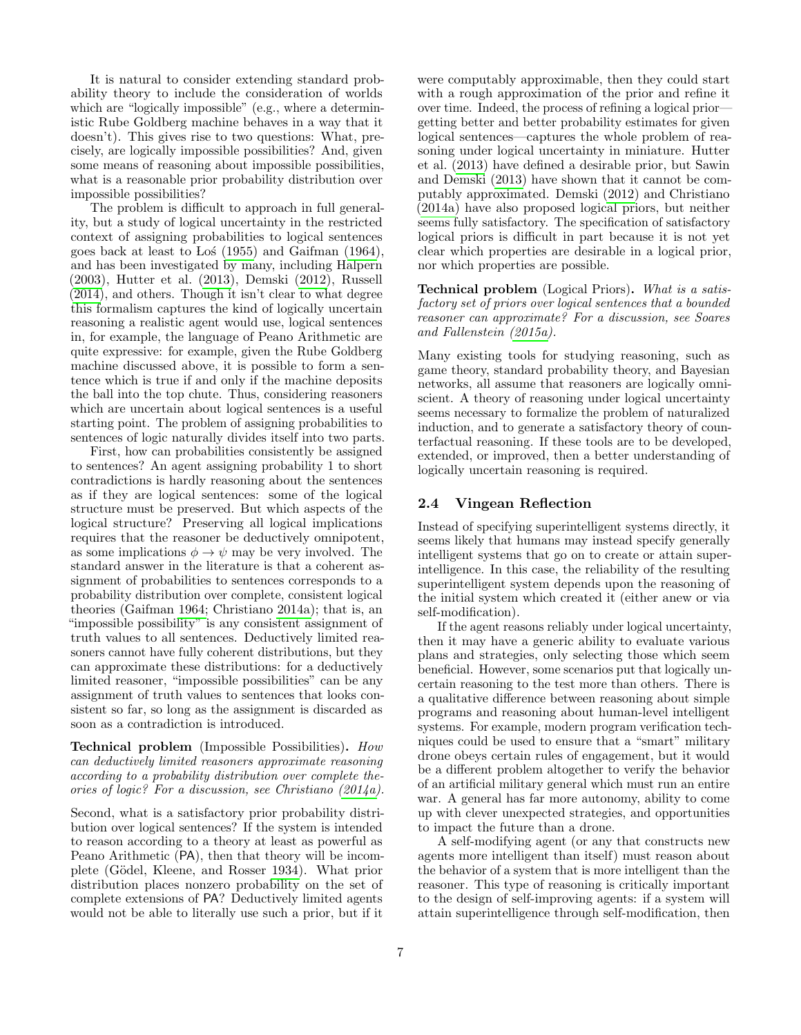It is natural to consider extending standard probability theory to include the consideration of worlds which are "logically impossible" (e.g., where a deterministic Rube Goldberg machine behaves in a way that it doesn't). This gives rise to two questions: What, precisely, are logically impossible possibilities? And, given some means of reasoning about impossible possibilities, what is a reasonable prior probability distribution over impossible possibilities?

The problem is difficult to approach in full generality, but a study of logical uncertainty in the restricted context of assigning probabilities to logical sentences goes back at least to Los  $(1955)$  and Gaifman  $(1964)$ , and has been investigated by many, including Halpern [\(2003\)](#page-11-18), Hutter et al. [\(2013\)](#page-11-19), Demski [\(2012\)](#page-11-20), Russell [\(2014\)](#page-12-10), and others. Though it isn't clear to what degree this formalism captures the kind of logically uncertain reasoning a realistic agent would use, logical sentences in, for example, the language of Peano Arithmetic are quite expressive: for example, given the Rube Goldberg machine discussed above, it is possible to form a sentence which is true if and only if the machine deposits the ball into the top chute. Thus, considering reasoners which are uncertain about logical sentences is a useful starting point. The problem of assigning probabilities to sentences of logic naturally divides itself into two parts.

First, how can probabilities consistently be assigned to sentences? An agent assigning probability 1 to short contradictions is hardly reasoning about the sentences as if they are logical sentences: some of the logical structure must be preserved. But which aspects of the logical structure? Preserving all logical implications requires that the reasoner be deductively omnipotent, as some implications  $\phi \to \psi$  may be very involved. The standard answer in the literature is that a coherent assignment of probabilities to sentences corresponds to a probability distribution over complete, consistent logical theories (Gaifman [1964;](#page-11-17) Christiano [2014a\)](#page-11-21); that is, an "impossible possibility" is any consistent assignment of truth values to all sentences. Deductively limited reasoners cannot have fully coherent distributions, but they can approximate these distributions: for a deductively limited reasoner, "impossible possibilities" can be any assignment of truth values to sentences that looks consistent so far, so long as the assignment is discarded as soon as a contradiction is introduced.

### Technical problem (Impossible Possibilities). How can deductively limited reasoners approximate reasoning according to a probability distribution over complete theories of logic? For a discussion, see Christiano [\(2014a\)](#page-11-21).

Second, what is a satisfactory prior probability distribution over logical sentences? If the system is intended to reason according to a theory at least as powerful as Peano Arithmetic (PA), then that theory will be incom-plete (Gödel, Kleene, and Rosser [1934\)](#page-11-22). What prior distribution places nonzero probability on the set of complete extensions of PA? Deductively limited agents would not be able to literally use such a prior, but if it

were computably approximable, then they could start with a rough approximation of the prior and refine it over time. Indeed, the process of refining a logical prior getting better and better probability estimates for given logical sentences—captures the whole problem of reasoning under logical uncertainty in miniature. Hutter et al. [\(2013\)](#page-11-19) have defined a desirable prior, but Sawin and Demski [\(2013\)](#page-12-11) have shown that it cannot be computably approximated. Demski [\(2012\)](#page-11-20) and Christiano [\(2014a\)](#page-11-21) have also proposed logical priors, but neither seems fully satisfactory. The specification of satisfactory logical priors is difficult in part because it is not yet clear which properties are desirable in a logical prior, nor which properties are possible.

Technical problem (Logical Priors). What is a satisfactory set of priors over logical sentences that a bounded reasoner can approximate? For a discussion, see Soares and Fallenstein [\(2015a\)](#page-12-9).

Many existing tools for studying reasoning, such as game theory, standard probability theory, and Bayesian networks, all assume that reasoners are logically omniscient. A theory of reasoning under logical uncertainty seems necessary to formalize the problem of naturalized induction, and to generate a satisfactory theory of counterfactual reasoning. If these tools are to be developed, extended, or improved, then a better understanding of logically uncertain reasoning is required.

### <span id="page-6-0"></span>2.4 Vingean Reflection

Instead of specifying superintelligent systems directly, it seems likely that humans may instead specify generally intelligent systems that go on to create or attain superintelligence. In this case, the reliability of the resulting superintelligent system depends upon the reasoning of the initial system which created it (either anew or via self-modification).

If the agent reasons reliably under logical uncertainty, then it may have a generic ability to evaluate various plans and strategies, only selecting those which seem beneficial. However, some scenarios put that logically uncertain reasoning to the test more than others. There is a qualitative difference between reasoning about simple programs and reasoning about human-level intelligent systems. For example, modern program verification techniques could be used to ensure that a "smart" military drone obeys certain rules of engagement, but it would be a different problem altogether to verify the behavior of an artificial military general which must run an entire war. A general has far more autonomy, ability to come up with clever unexpected strategies, and opportunities to impact the future than a drone.

A self-modifying agent (or any that constructs new agents more intelligent than itself) must reason about the behavior of a system that is more intelligent than the reasoner. This type of reasoning is critically important to the design of self-improving agents: if a system will attain superintelligence through self-modification, then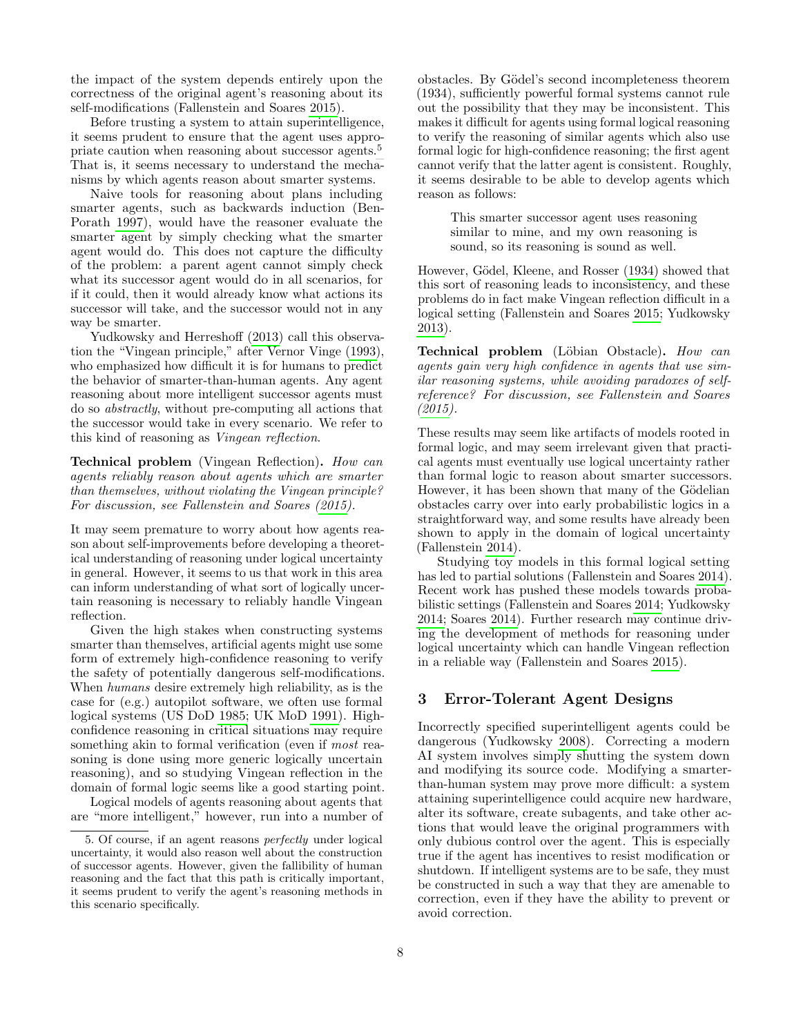the impact of the system depends entirely upon the correctness of the original agent's reasoning about its self-modifications (Fallenstein and Soares [2015\)](#page-11-23).

Before trusting a system to attain superintelligence, it seems prudent to ensure that the agent uses appro-priate caution when reasoning about successor agents.<sup>[5](#page-7-1)</sup> That is, it seems necessary to understand the mechanisms by which agents reason about smarter systems.

Naive tools for reasoning about plans including smarter agents, such as backwards induction (Ben-Porath [1997\)](#page-11-24), would have the reasoner evaluate the smarter agent by simply checking what the smarter agent would do. This does not capture the difficulty of the problem: a parent agent cannot simply check what its successor agent would do in all scenarios, for if it could, then it would already know what actions its successor will take, and the successor would not in any way be smarter.

Yudkowsky and Herreshoff [\(2013\)](#page-12-12) call this observation the "Vingean principle," after Vernor Vinge [\(1993\)](#page-12-13), who emphasized how difficult it is for humans to predict the behavior of smarter-than-human agents. Any agent reasoning about more intelligent successor agents must do so abstractly, without pre-computing all actions that the successor would take in every scenario. We refer to this kind of reasoning as Vingean reflection.

Technical problem (Vingean Reflection). How can agents reliably reason about agents which are smarter than themselves, without violating the Vingean principle? For discussion, see Fallenstein and Soares [\(2015\)](#page-11-23).

It may seem premature to worry about how agents reason about self-improvements before developing a theoretical understanding of reasoning under logical uncertainty in general. However, it seems to us that work in this area can inform understanding of what sort of logically uncertain reasoning is necessary to reliably handle Vingean reflection.

Given the high stakes when constructing systems smarter than themselves, artificial agents might use some form of extremely high-confidence reasoning to verify the safety of potentially dangerous self-modifications. When *humans* desire extremely high reliability, as is the case for (e.g.) autopilot software, we often use formal logical systems (US DoD [1985;](#page-12-14) UK MoD [1991\)](#page-12-15). Highconfidence reasoning in critical situations may require something akin to formal verification (even if *most* reasoning is done using more generic logically uncertain reasoning), and so studying Vingean reflection in the domain of formal logic seems like a good starting point.

Logical models of agents reasoning about agents that are "more intelligent," however, run into a number of

obstacles. By Gödel's second incompleteness theorem (1934), sufficiently powerful formal systems cannot rule out the possibility that they may be inconsistent. This makes it difficult for agents using formal logical reasoning to verify the reasoning of similar agents which also use formal logic for high-confidence reasoning; the first agent cannot verify that the latter agent is consistent. Roughly, it seems desirable to be able to develop agents which reason as follows:

> This smarter successor agent uses reasoning similar to mine, and my own reasoning is sound, so its reasoning is sound as well.

However, Gödel, Kleene, and Rosser [\(1934\)](#page-11-22) showed that this sort of reasoning leads to inconsistency, and these problems do in fact make Vingean reflection difficult in a logical setting (Fallenstein and Soares [2015;](#page-11-23) Yudkowsky [2013\)](#page-12-16).

Technical problem (Löbian Obstacle). How can agents gain very high confidence in agents that use similar reasoning systems, while avoiding paradoxes of selfreference? For discussion, see Fallenstein and Soares [\(2015\)](#page-11-23).

These results may seem like artifacts of models rooted in formal logic, and may seem irrelevant given that practical agents must eventually use logical uncertainty rather than formal logic to reason about smarter successors. However, it has been shown that many of the Gödelian obstacles carry over into early probabilistic logics in a straightforward way, and some results have already been shown to apply in the domain of logical uncertainty (Fallenstein [2014\)](#page-11-25).

Studying toy models in this formal logical setting has led to partial solutions (Fallenstein and Soares [2014\)](#page-11-26). Recent work has pushed these models towards probabilistic settings (Fallenstein and Soares [2014;](#page-11-26) Yudkowsky [2014;](#page-12-17) Soares [2014\)](#page-12-18). Further research may continue driving the development of methods for reasoning under logical uncertainty which can handle Vingean reflection in a reliable way (Fallenstein and Soares [2015\)](#page-11-23).

## <span id="page-7-0"></span>3 Error-Tolerant Agent Designs

Incorrectly specified superintelligent agents could be dangerous (Yudkowsky [2008\)](#page-12-1). Correcting a modern AI system involves simply shutting the system down and modifying its source code. Modifying a smarterthan-human system may prove more difficult: a system attaining superintelligence could acquire new hardware, alter its software, create subagents, and take other actions that would leave the original programmers with only dubious control over the agent. This is especially true if the agent has incentives to resist modification or shutdown. If intelligent systems are to be safe, they must be constructed in such a way that they are amenable to correction, even if they have the ability to prevent or avoid correction.

<span id="page-7-1"></span><sup>5.</sup> Of course, if an agent reasons perfectly under logical uncertainty, it would also reason well about the construction of successor agents. However, given the fallibility of human reasoning and the fact that this path is critically important, it seems prudent to verify the agent's reasoning methods in this scenario specifically.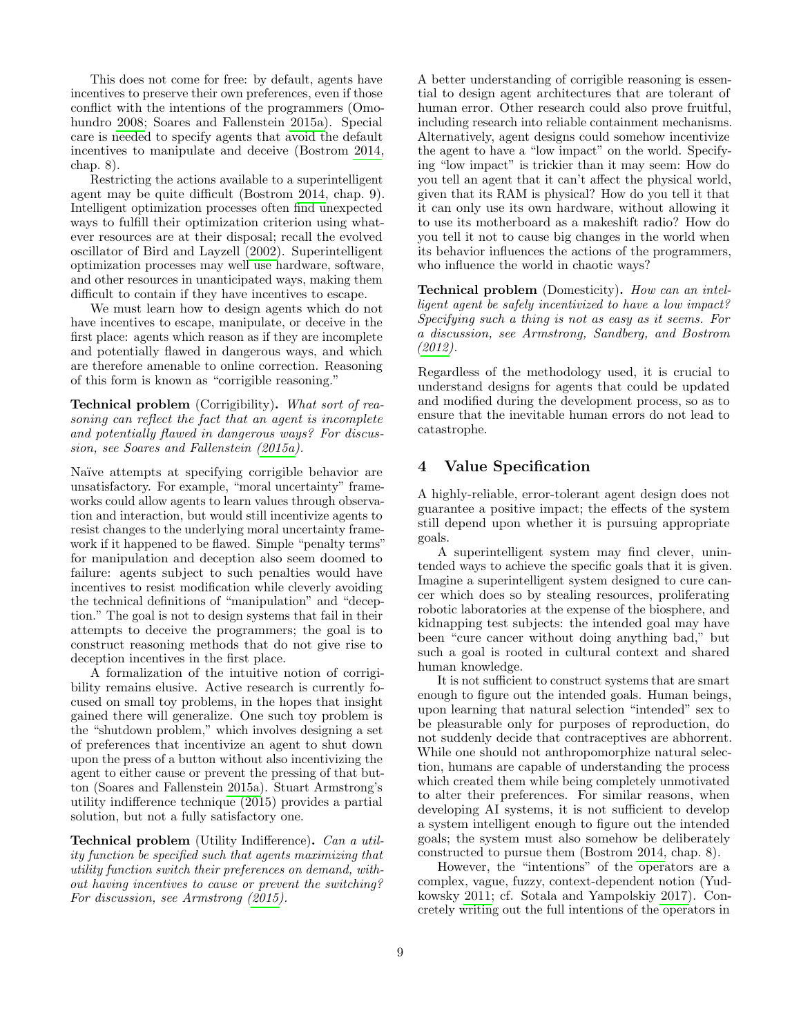This does not come for free: by default, agents have incentives to preserve their own preferences, even if those conflict with the intentions of the programmers (Omohundro [2008;](#page-11-2) Soares and Fallenstein [2015a\)](#page-12-9). Special care is needed to specify agents that avoid the default incentives to manipulate and deceive (Bostrom [2014,](#page-11-0) chap. 8).

Restricting the actions available to a superintelligent agent may be quite difficult (Bostrom [2014,](#page-11-0) chap. 9). Intelligent optimization processes often find unexpected ways to fulfill their optimization criterion using whatever resources are at their disposal; recall the evolved oscillator of Bird and Layzell [\(2002\)](#page-11-5). Superintelligent optimization processes may well use hardware, software, and other resources in unanticipated ways, making them difficult to contain if they have incentives to escape.

We must learn how to design agents which do not have incentives to escape, manipulate, or deceive in the first place: agents which reason as if they are incomplete and potentially flawed in dangerous ways, and which are therefore amenable to online correction. Reasoning of this form is known as "corrigible reasoning."

Technical problem (Corrigibility). What sort of reasoning can reflect the fact that an agent is incomplete and potentially flawed in dangerous ways? For discussion, see Soares and Fallenstein [\(2015a\)](#page-12-9).

Naïve attempts at specifying corrigible behavior are unsatisfactory. For example, "moral uncertainty" frameworks could allow agents to learn values through observation and interaction, but would still incentivize agents to resist changes to the underlying moral uncertainty framework if it happened to be flawed. Simple "penalty terms" for manipulation and deception also seem doomed to failure: agents subject to such penalties would have incentives to resist modification while cleverly avoiding the technical definitions of "manipulation" and "deception." The goal is not to design systems that fail in their attempts to deceive the programmers; the goal is to construct reasoning methods that do not give rise to deception incentives in the first place.

A formalization of the intuitive notion of corrigibility remains elusive. Active research is currently focused on small toy problems, in the hopes that insight gained there will generalize. One such toy problem is the "shutdown problem," which involves designing a set of preferences that incentivize an agent to shut down upon the press of a button without also incentivizing the agent to either cause or prevent the pressing of that button (Soares and Fallenstein [2015a\)](#page-12-9). Stuart Armstrong's utility indifference technique (2015) provides a partial solution, but not a fully satisfactory one.

Technical problem (Utility Indifference). Can a utility function be specified such that agents maximizing that utility function switch their preferences on demand, without having incentives to cause or prevent the switching? For discussion, see Armstrong [\(2015\)](#page-10-4).

A better understanding of corrigible reasoning is essential to design agent architectures that are tolerant of human error. Other research could also prove fruitful, including research into reliable containment mechanisms. Alternatively, agent designs could somehow incentivize the agent to have a "low impact" on the world. Specifying "low impact" is trickier than it may seem: How do you tell an agent that it can't affect the physical world, given that its RAM is physical? How do you tell it that it can only use its own hardware, without allowing it to use its motherboard as a makeshift radio? How do you tell it not to cause big changes in the world when its behavior influences the actions of the programmers, who influence the world in chaotic ways?

Technical problem (Domesticity). How can an intelligent agent be safely incentivized to have a low impact? Specifying such a thing is not as easy as it seems. For a discussion, see Armstrong, Sandberg, and Bostrom [\(2012\)](#page-10-5).

Regardless of the methodology used, it is crucial to understand designs for agents that could be updated and modified during the development process, so as to ensure that the inevitable human errors do not lead to catastrophe.

# <span id="page-8-0"></span>4 Value Specification

A highly-reliable, error-tolerant agent design does not guarantee a positive impact; the effects of the system still depend upon whether it is pursuing appropriate goals.

A superintelligent system may find clever, unintended ways to achieve the specific goals that it is given. Imagine a superintelligent system designed to cure cancer which does so by stealing resources, proliferating robotic laboratories at the expense of the biosphere, and kidnapping test subjects: the intended goal may have been "cure cancer without doing anything bad," but such a goal is rooted in cultural context and shared human knowledge.

It is not sufficient to construct systems that are smart enough to figure out the intended goals. Human beings, upon learning that natural selection "intended" sex to be pleasurable only for purposes of reproduction, do not suddenly decide that contraceptives are abhorrent. While one should not anthropomorphize natural selection, humans are capable of understanding the process which created them while being completely unmotivated to alter their preferences. For similar reasons, when developing AI systems, it is not sufficient to develop a system intelligent enough to figure out the intended goals; the system must also somehow be deliberately constructed to pursue them (Bostrom [2014,](#page-11-0) chap. 8).

However, the "intentions" of the operators are a complex, vague, fuzzy, context-dependent notion (Yudkowsky [2011;](#page-12-19) cf. Sotala and Yampolskiy [2017\)](#page-12-0). Concretely writing out the full intentions of the operators in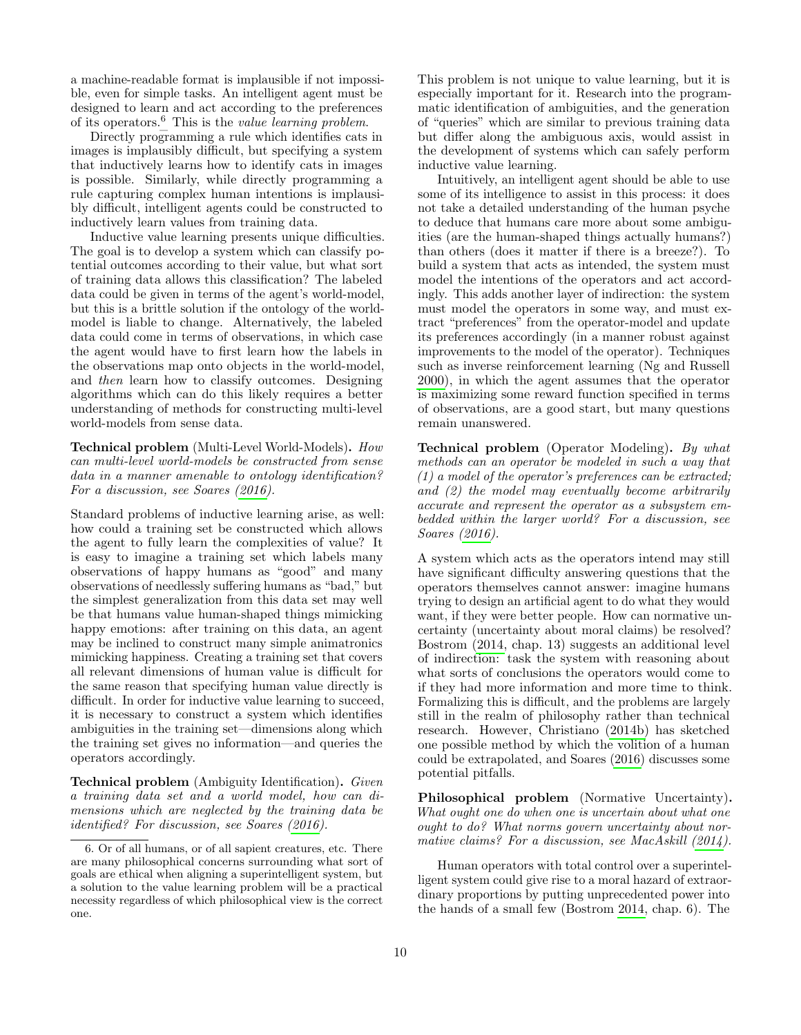a machine-readable format is implausible if not impossible, even for simple tasks. An intelligent agent must be designed to learn and act according to the preferences of its operators.[6](#page-9-0) This is the value learning problem.

Directly programming a rule which identifies cats in images is implausibly difficult, but specifying a system that inductively learns how to identify cats in images is possible. Similarly, while directly programming a rule capturing complex human intentions is implausibly difficult, intelligent agents could be constructed to inductively learn values from training data.

Inductive value learning presents unique difficulties. The goal is to develop a system which can classify potential outcomes according to their value, but what sort of training data allows this classification? The labeled data could be given in terms of the agent's world-model, but this is a brittle solution if the ontology of the worldmodel is liable to change. Alternatively, the labeled data could come in terms of observations, in which case the agent would have to first learn how the labels in the observations map onto objects in the world-model, and then learn how to classify outcomes. Designing algorithms which can do this likely requires a better understanding of methods for constructing multi-level world-models from sense data.

Technical problem (Multi-Level World-Models). How can multi-level world-models be constructed from sense data in a manner amenable to ontology identification? For a discussion, see Soares [\(2016\)](#page-12-20).

Standard problems of inductive learning arise, as well: how could a training set be constructed which allows the agent to fully learn the complexities of value? It is easy to imagine a training set which labels many observations of happy humans as "good" and many observations of needlessly suffering humans as "bad," but the simplest generalization from this data set may well be that humans value human-shaped things mimicking happy emotions: after training on this data, an agent may be inclined to construct many simple animatronics mimicking happiness. Creating a training set that covers all relevant dimensions of human value is difficult for the same reason that specifying human value directly is difficult. In order for inductive value learning to succeed, it is necessary to construct a system which identifies ambiguities in the training set—dimensions along which the training set gives no information—and queries the operators accordingly.

Technical problem (Ambiguity Identification). Given a training data set and a world model, how can dimensions which are neglected by the training data be identified? For discussion, see Soares [\(2016\)](#page-12-20).

This problem is not unique to value learning, but it is especially important for it. Research into the programmatic identification of ambiguities, and the generation of "queries" which are similar to previous training data but differ along the ambiguous axis, would assist in the development of systems which can safely perform inductive value learning.

Intuitively, an intelligent agent should be able to use some of its intelligence to assist in this process: it does not take a detailed understanding of the human psyche to deduce that humans care more about some ambiguities (are the human-shaped things actually humans?) than others (does it matter if there is a breeze?). To build a system that acts as intended, the system must model the intentions of the operators and act accordingly. This adds another layer of indirection: the system must model the operators in some way, and must extract "preferences" from the operator-model and update its preferences accordingly (in a manner robust against improvements to the model of the operator). Techniques such as inverse reinforcement learning (Ng and Russell [2000\)](#page-11-27), in which the agent assumes that the operator is maximizing some reward function specified in terms of observations, are a good start, but many questions remain unanswered.

Technical problem (Operator Modeling). By what methods can an operator be modeled in such a way that (1) a model of the operator's preferences can be extracted; and (2) the model may eventually become arbitrarily accurate and represent the operator as a subsystem embedded within the larger world? For a discussion, see Soares [\(2016\)](#page-12-20).

A system which acts as the operators intend may still have significant difficulty answering questions that the operators themselves cannot answer: imagine humans trying to design an artificial agent to do what they would want, if they were better people. How can normative uncertainty (uncertainty about moral claims) be resolved? Bostrom [\(2014,](#page-11-0) chap. 13) suggests an additional level of indirection: task the system with reasoning about what sorts of conclusions the operators would come to if they had more information and more time to think. Formalizing this is difficult, and the problems are largely still in the realm of philosophy rather than technical research. However, Christiano [\(2014b\)](#page-11-28) has sketched one possible method by which the volition of a human could be extrapolated, and Soares [\(2016\)](#page-12-20) discusses some potential pitfalls.

Philosophical problem (Normative Uncertainty). What ought one do when one is uncertain about what one ought to do? What norms govern uncertainty about nor-mative claims? For a discussion, see MacAskill [\(2014\)](#page-11-29).

Human operators with total control over a superintelligent system could give rise to a moral hazard of extraordinary proportions by putting unprecedented power into the hands of a small few (Bostrom [2014,](#page-11-0) chap. 6). The

<span id="page-9-0"></span><sup>6.</sup> Or of all humans, or of all sapient creatures, etc. There are many philosophical concerns surrounding what sort of goals are ethical when aligning a superintelligent system, but a solution to the value learning problem will be a practical necessity regardless of which philosophical view is the correct one.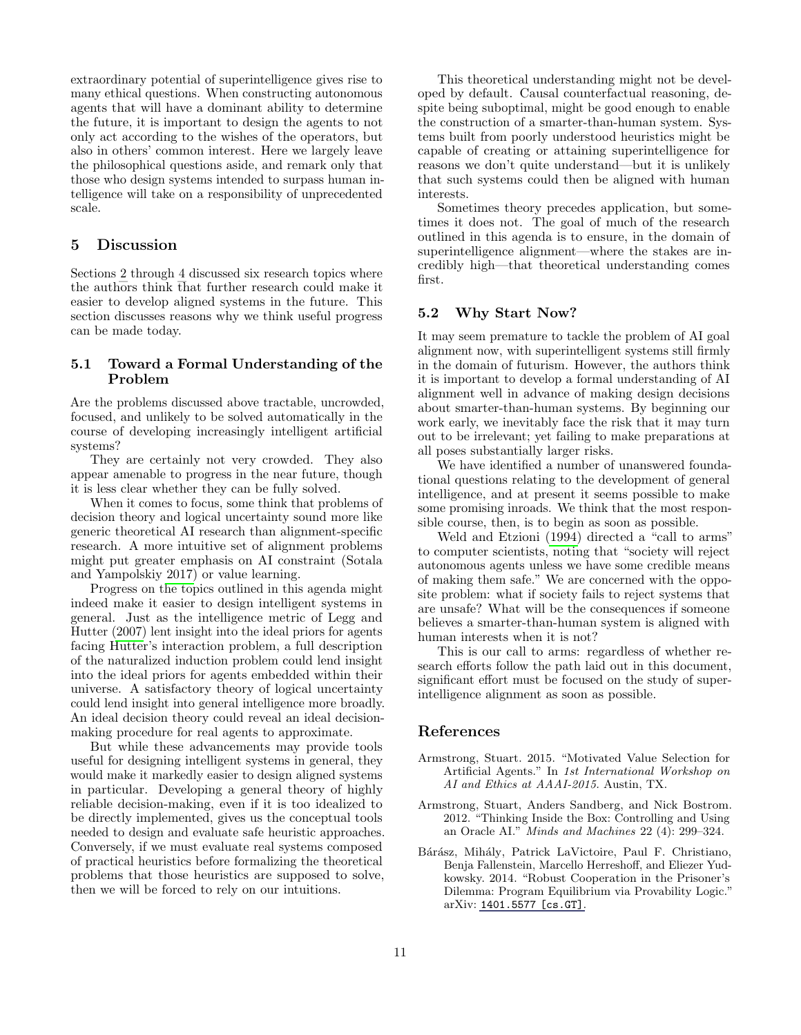extraordinary potential of superintelligence gives rise to many ethical questions. When constructing autonomous agents that will have a dominant ability to determine the future, it is important to design the agents to not only act according to the wishes of the operators, but also in others' common interest. Here we largely leave the philosophical questions aside, and remark only that those who design systems intended to surpass human intelligence will take on a responsibility of unprecedented scale.

### <span id="page-10-0"></span>5 Discussion

Sections [2](#page-2-0) through [4](#page-8-0) discussed six research topics where the authors think that further research could make it easier to develop aligned systems in the future. This section discusses reasons why we think useful progress can be made today.

### <span id="page-10-1"></span>5.1 Toward a Formal Understanding of the Problem

Are the problems discussed above tractable, uncrowded, focused, and unlikely to be solved automatically in the course of developing increasingly intelligent artificial systems?

They are certainly not very crowded. They also appear amenable to progress in the near future, though it is less clear whether they can be fully solved.

When it comes to focus, some think that problems of decision theory and logical uncertainty sound more like generic theoretical AI research than alignment-specific research. A more intuitive set of alignment problems might put greater emphasis on AI constraint (Sotala and Yampolskiy [2017\)](#page-12-0) or value learning.

Progress on the topics outlined in this agenda might indeed make it easier to design intelligent systems in general. Just as the intelligence metric of Legg and Hutter [\(2007\)](#page-11-6) lent insight into the ideal priors for agents facing Hutter's interaction problem, a full description of the naturalized induction problem could lend insight into the ideal priors for agents embedded within their universe. A satisfactory theory of logical uncertainty could lend insight into general intelligence more broadly. An ideal decision theory could reveal an ideal decisionmaking procedure for real agents to approximate.

But while these advancements may provide tools useful for designing intelligent systems in general, they would make it markedly easier to design aligned systems in particular. Developing a general theory of highly reliable decision-making, even if it is too idealized to be directly implemented, gives us the conceptual tools needed to design and evaluate safe heuristic approaches. Conversely, if we must evaluate real systems composed of practical heuristics before formalizing the theoretical problems that those heuristics are supposed to solve, then we will be forced to rely on our intuitions.

This theoretical understanding might not be developed by default. Causal counterfactual reasoning, despite being suboptimal, might be good enough to enable the construction of a smarter-than-human system. Systems built from poorly understood heuristics might be capable of creating or attaining superintelligence for reasons we don't quite understand—but it is unlikely that such systems could then be aligned with human interests.

Sometimes theory precedes application, but sometimes it does not. The goal of much of the research outlined in this agenda is to ensure, in the domain of superintelligence alignment—where the stakes are incredibly high—that theoretical understanding comes first.

#### <span id="page-10-2"></span>5.2 Why Start Now?

It may seem premature to tackle the problem of AI goal alignment now, with superintelligent systems still firmly in the domain of futurism. However, the authors think it is important to develop a formal understanding of AI alignment well in advance of making design decisions about smarter-than-human systems. By beginning our work early, we inevitably face the risk that it may turn out to be irrelevant; yet failing to make preparations at all poses substantially larger risks.

We have identified a number of unanswered foundational questions relating to the development of general intelligence, and at present it seems possible to make some promising inroads. We think that the most responsible course, then, is to begin as soon as possible.

Weld and Etzioni [\(1994\)](#page-12-21) directed a "call to arms" to computer scientists, noting that "society will reject autonomous agents unless we have some credible means of making them safe." We are concerned with the opposite problem: what if society fails to reject systems that are unsafe? What will be the consequences if someone believes a smarter-than-human system is aligned with human interests when it is not?

This is our call to arms: regardless of whether research efforts follow the path laid out in this document, significant effort must be focused on the study of superintelligence alignment as soon as possible.

### References

- <span id="page-10-4"></span>Armstrong, Stuart. 2015. "Motivated Value Selection for Artificial Agents." In 1st International Workshop on AI and Ethics at AAAI-2015. Austin, TX.
- <span id="page-10-5"></span>Armstrong, Stuart, Anders Sandberg, and Nick Bostrom. 2012. "Thinking Inside the Box: Controlling and Using an Oracle AI." Minds and Machines 22 (4): 299–324.
- <span id="page-10-3"></span>Bárász, Mihály, Patrick LaVictoire, Paul F. Christiano, Benja Fallenstein, Marcello Herreshoff, and Eliezer Yudkowsky. 2014. "Robust Cooperation in the Prisoner's Dilemma: Program Equilibrium via Provability Logic." arXiv: [1401.5577 \[cs.GT\]](http://arxiv.org/abs/1401.5577).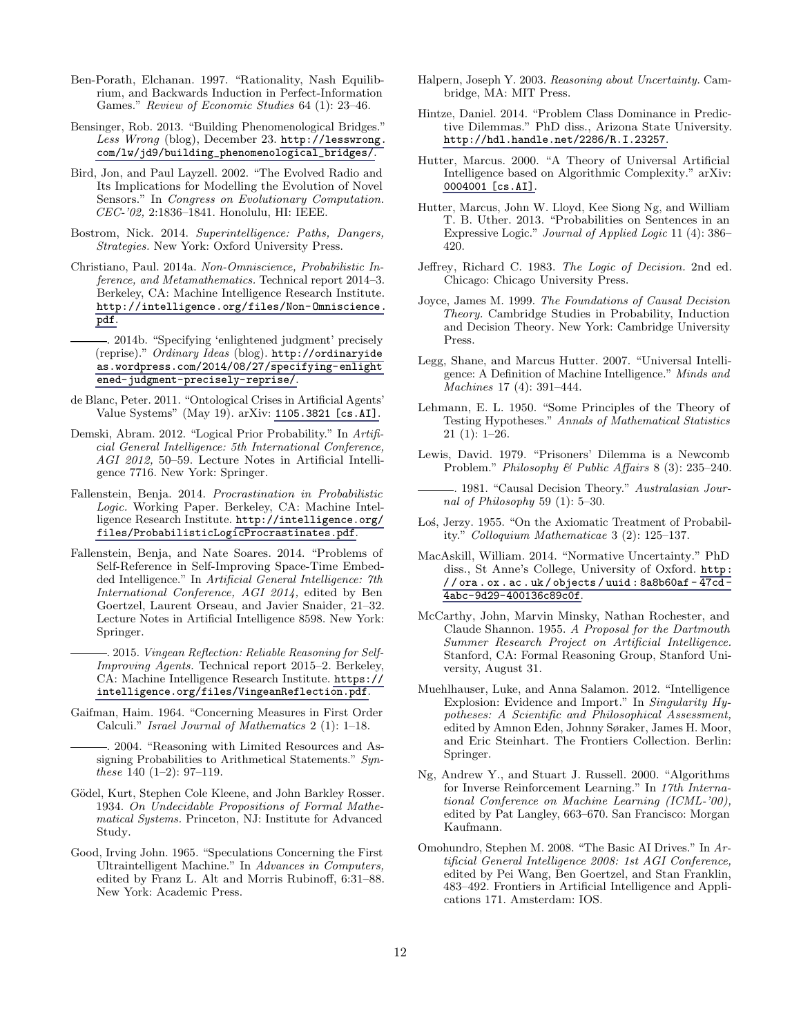- <span id="page-11-24"></span>Ben-Porath, Elchanan. 1997. "Rationality, Nash Equilibrium, and Backwards Induction in Perfect-Information Games." Review of Economic Studies 64 (1): 23–46.
- <span id="page-11-7"></span>Bensinger, Rob. 2013. "Building Phenomenological Bridges." Less Wrong (blog), December 23. [http://lesswrong.](http://lesswrong.com/lw/jd9/building_phenomenological_bridges/) [com/lw/jd9/building\\_phenomenological\\_bridges/](http://lesswrong.com/lw/jd9/building_phenomenological_bridges/).
- <span id="page-11-5"></span>Bird, Jon, and Paul Layzell. 2002. "The Evolved Radio and Its Implications for Modelling the Evolution of Novel Sensors." In Congress on Evolutionary Computation. CEC-'02, 2:1836–1841. Honolulu, HI: IEEE.
- <span id="page-11-0"></span>Bostrom, Nick. 2014. Superintelligence: Paths, Dangers, Strategies. New York: Oxford University Press.
- <span id="page-11-21"></span>Christiano, Paul. 2014a. Non-Omniscience, Probabilistic Inference, and Metamathematics. Technical report 2014–3. Berkeley, CA: Machine Intelligence Research Institute. [http://intelligence.org/files/Non-Omniscience.](http://intelligence.org/files/Non-Omniscience.pdf) [pdf](http://intelligence.org/files/Non-Omniscience.pdf).

<span id="page-11-28"></span>. 2014b. "Specifying 'enlightened judgment' precisely (reprise)." Ordinary Ideas (blog). [http://ordinaryide](http://ordinaryideas.wordpress.com/2014/08/27/specifying-enlightened-judgment-precisely-reprise/) [as.wordpress.com/2014/08/27/specifying-enlight](http://ordinaryideas.wordpress.com/2014/08/27/specifying-enlightened-judgment-precisely-reprise/) [ened-judgment-precisely-reprise/](http://ordinaryideas.wordpress.com/2014/08/27/specifying-enlightened-judgment-precisely-reprise/).

- de Blanc, Peter. 2011. "Ontological Crises in Artificial Agents' Value Systems" (May 19). arXiv: [1105.3821 \[cs.AI\]](http://arxiv.org/abs/1105.3821).
- <span id="page-11-20"></span>Demski, Abram. 2012. "Logical Prior Probability." In Artificial General Intelligence: 5th International Conference, AGI 2012, 50–59. Lecture Notes in Artificial Intelligence 7716. New York: Springer.
- <span id="page-11-25"></span>Fallenstein, Benja. 2014. Procrastination in Probabilistic Logic. Working Paper. Berkeley, CA: Machine Intelligence Research Institute. [http://intelligence.org/](http://intelligence.org/files/ProbabilisticLogicProcrastinates.pdf) [files/ProbabilisticLogicProcrastinates.pdf](http://intelligence.org/files/ProbabilisticLogicProcrastinates.pdf).
- <span id="page-11-26"></span>Fallenstein, Benja, and Nate Soares. 2014. "Problems of Self-Reference in Self-Improving Space-Time Embedded Intelligence." In Artificial General Intelligence: 7th International Conference, AGI 2014, edited by Ben Goertzel, Laurent Orseau, and Javier Snaider, 21–32. Lecture Notes in Artificial Intelligence 8598. New York: Springer.

<span id="page-11-23"></span>. 2015. Vingean Reflection: Reliable Reasoning for Self-Improving Agents. Technical report 2015–2. Berkeley, CA: Machine Intelligence Research Institute. [https://](https://intelligence.org/files/VingeanReflection.pdf) [intelligence.org/files/VingeanReflection.pdf](https://intelligence.org/files/VingeanReflection.pdf).

<span id="page-11-17"></span>Gaifman, Haim. 1964. "Concerning Measures in First Order Calculi." Israel Journal of Mathematics 2 (1): 1–18.

<span id="page-11-15"></span>. 2004. "Reasoning with Limited Resources and Assigning Probabilities to Arithmetical Statements." Synthese  $140$  (1–2): 97–119.

- <span id="page-11-22"></span>Gödel, Kurt, Stephen Cole Kleene, and John Barkley Rosser. 1934. On Undecidable Propositions of Formal Mathematical Systems. Princeton, NJ: Institute for Advanced Study.
- <span id="page-11-4"></span>Good, Irving John. 1965. "Speculations Concerning the First Ultraintelligent Machine." In Advances in Computers, edited by Franz L. Alt and Morris Rubinoff, 6:31–88. New York: Academic Press.
- <span id="page-11-18"></span>Halpern, Joseph Y. 2003. Reasoning about Uncertainty. Cambridge, MA: MIT Press.
- <span id="page-11-14"></span>Hintze, Daniel. 2014. "Problem Class Dominance in Predictive Dilemmas." PhD diss., Arizona State University. <http://hdl.handle.net/2286/R.I.23257>.
- <span id="page-11-8"></span>Hutter, Marcus. 2000. "A Theory of Universal Artificial Intelligence based on Algorithmic Complexity." arXiv: [0004001 \[cs.AI\]](http://arxiv.org/abs/0004001).
- <span id="page-11-19"></span>Hutter, Marcus, John W. Lloyd, Kee Siong Ng, and William T. B. Uther. 2013. "Probabilities on Sentences in an Expressive Logic." Journal of Applied Logic 11 (4): 386– 420.
- <span id="page-11-10"></span>Jeffrey, Richard C. 1983. The Logic of Decision. 2nd ed. Chicago: Chicago University Press.
- <span id="page-11-11"></span>Joyce, James M. 1999. The Foundations of Causal Decision Theory. Cambridge Studies in Probability, Induction and Decision Theory. New York: Cambridge University Press.
- <span id="page-11-6"></span>Legg, Shane, and Marcus Hutter. 2007. "Universal Intelligence: A Definition of Machine Intelligence." Minds and Machines 17 (4): 391–444.
- <span id="page-11-9"></span>Lehmann, E. L. 1950. "Some Principles of the Theory of Testing Hypotheses." Annals of Mathematical Statistics 21 (1): 1–26.
- <span id="page-11-13"></span>Lewis, David. 1979. "Prisoners' Dilemma is a Newcomb Problem." Philosophy & Public Affairs 8 (3): 235–240.
- <span id="page-11-12"></span>. 1981. "Causal Decision Theory." Australasian Journal of Philosophy 59 (1): 5–30.
- <span id="page-11-16"></span>Loś, Jerzy. 1955. "On the Axiomatic Treatment of Probability." Colloquium Mathematicae 3 (2): 125–137.
- <span id="page-11-29"></span>MacAskill, William. 2014. "Normative Uncertainty." PhD diss., St Anne's College, University of Oxford. [http:](http://ora.ox.ac.uk/objects/uuid:8a8b60af-47cd-4abc-9d29-400136c89c0f) [/ / ora . ox . ac . uk / objects / uuid : 8a8b60af - 47cd -](http://ora.ox.ac.uk/objects/uuid:8a8b60af-47cd-4abc-9d29-400136c89c0f) [4abc-9d29-400136c89c0f](http://ora.ox.ac.uk/objects/uuid:8a8b60af-47cd-4abc-9d29-400136c89c0f).
- <span id="page-11-3"></span>McCarthy, John, Marvin Minsky, Nathan Rochester, and Claude Shannon. 1955. A Proposal for the Dartmouth Summer Research Project on Artificial Intelligence. Stanford, CA: Formal Reasoning Group, Stanford University, August 31.
- <span id="page-11-1"></span>Muehlhauser, Luke, and Anna Salamon. 2012. "Intelligence Explosion: Evidence and Import." In Singularity Hypotheses: A Scientific and Philosophical Assessment, edited by Amnon Eden, Johnny Søraker, James H. Moor, and Eric Steinhart. The Frontiers Collection. Berlin: Springer.
- <span id="page-11-27"></span>Ng, Andrew Y., and Stuart J. Russell. 2000. "Algorithms for Inverse Reinforcement Learning." In 17th International Conference on Machine Learning (ICML-'00), edited by Pat Langley, 663–670. San Francisco: Morgan Kaufmann.
- <span id="page-11-2"></span>Omohundro, Stephen M. 2008. "The Basic AI Drives." In Artificial General Intelligence 2008: 1st AGI Conference, edited by Pei Wang, Ben Goertzel, and Stan Franklin, 483–492. Frontiers in Artificial Intelligence and Applications 171. Amsterdam: IOS.